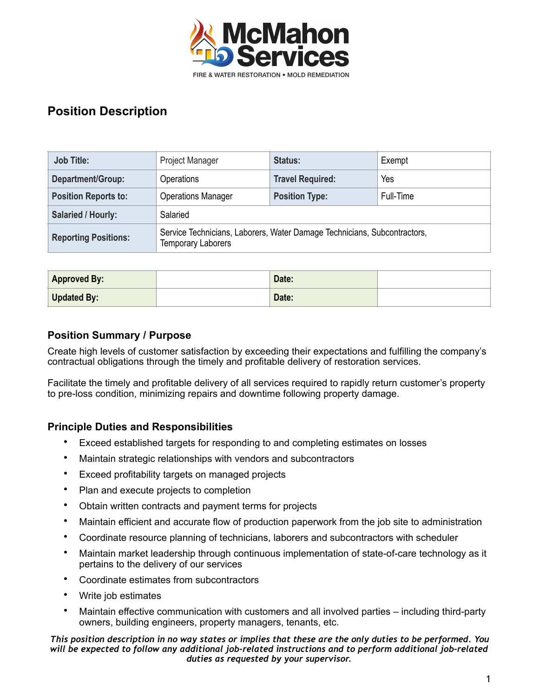

| <b>Job Title:</b>           | Project Manager                                                                                       | <b>Status:</b>          | Exempt    |  |
|-----------------------------|-------------------------------------------------------------------------------------------------------|-------------------------|-----------|--|
| Department/Group:           | <b>Operations</b>                                                                                     | <b>Travel Required:</b> | Yes       |  |
| <b>Position Reports to:</b> | <b>Operations Manager</b>                                                                             | <b>Position Type:</b>   | Full-Time |  |
| <b>Salaried / Hourly:</b>   | Salaried                                                                                              |                         |           |  |
| <b>Reporting Positions:</b> | Service Technicians, Laborers, Water Damage Technicians, Subcontractors,<br><b>Temporary Laborers</b> |                         |           |  |

| <b>Approved By:</b> | Date: |  |
|---------------------|-------|--|
| Updated By:         | Date: |  |

### **Position Summary / Purpose**

Create high levels of customer satisfaction by exceeding their expectations and fulfilling the company's contractual obligations through the timely and profitable delivery of restoration services.

Facilitate the timely and profitable delivery of all services required to rapidly return customer's property to pre-loss condition, minimizing repairs and downtime following property damage.

### **Principle Duties and Responsibilities**

- Exceed established targets for responding to and completing estimates on losses
- Maintain strategic relationships with vendors and subcontractors
- Exceed profitability targets on managed projects
- Plan and execute projects to completion
- Obtain written contracts and payment terms for projects
- Maintain efficient and accurate flow of production paperwork from the job site to administration
- Coordinate resource planning of technicians, laborers and subcontractors with scheduler
- Maintain market leadership through continuous implementation of state-of-care technology as it pertains to the delivery of our services
- Coordinate estimates from subcontractors
- Write job estimates
- Maintain effective communication with customers and all involved parties including third-party owners, building engineers, property managers, tenants, etc.

*This position description in no way states or implies that these are the only duties to be performed. You will be expected to follow any additional job-related instructions and to perform additional job-related duties as requested by your supervisor.*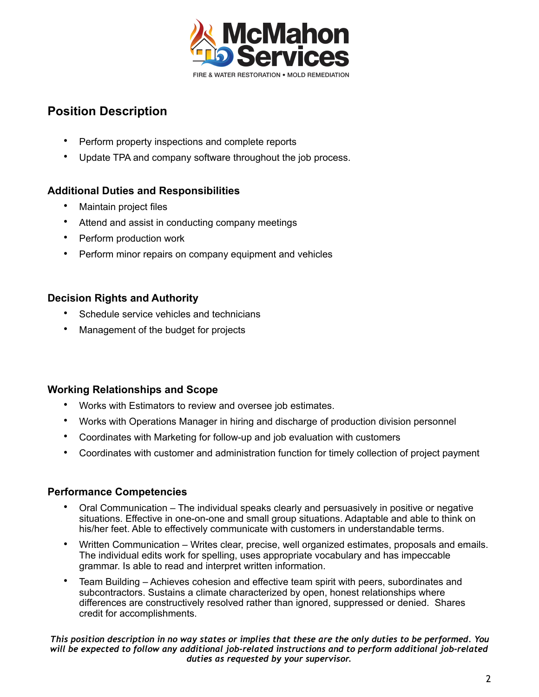

- Perform property inspections and complete reports
- Update TPA and company software throughout the job process.

## **Additional Duties and Responsibilities**

- Maintain project files
- Attend and assist in conducting company meetings
- Perform production work
- Perform minor repairs on company equipment and vehicles

## **Decision Rights and Authority**

- Schedule service vehicles and technicians
- Management of the budget for projects

### **Working Relationships and Scope**

- Works with Estimators to review and oversee job estimates.
- Works with Operations Manager in hiring and discharge of production division personnel
- Coordinates with Marketing for follow-up and job evaluation with customers
- Coordinates with customer and administration function for timely collection of project payment

### **Performance Competencies**

- Oral Communication The individual speaks clearly and persuasively in positive or negative situations. Effective in one-on-one and small group situations. Adaptable and able to think on his/her feet. Able to effectively communicate with customers in understandable terms.
- Written Communication Writes clear, precise, well organized estimates, proposals and emails. The individual edits work for spelling, uses appropriate vocabulary and has impeccable grammar. Is able to read and interpret written information.
- Team Building Achieves cohesion and effective team spirit with peers, subordinates and subcontractors. Sustains a climate characterized by open, honest relationships where differences are constructively resolved rather than ignored, suppressed or denied. Shares credit for accomplishments.

*This position description in no way states or implies that these are the only duties to be performed. You will be expected to follow any additional job-related instructions and to perform additional job-related duties as requested by your supervisor.*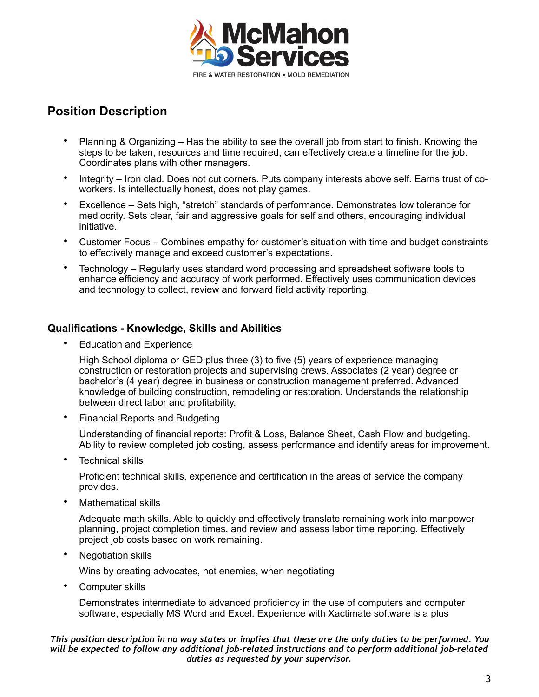

- Planning & Organizing Has the ability to see the overall job from start to finish. Knowing the steps to be taken, resources and time required, can effectively create a timeline for the job. Coordinates plans with other managers.
- Integrity Iron clad. Does not cut corners. Puts company interests above self. Earns trust of coworkers. Is intellectually honest, does not play games.
- Excellence Sets high, "stretch" standards of performance. Demonstrates low tolerance for mediocrity. Sets clear, fair and aggressive goals for self and others, encouraging individual initiative.
- Customer Focus Combines empathy for customer's situation with time and budget constraints to effectively manage and exceed customer's expectations.
- Technology Regularly uses standard word processing and spreadsheet software tools to enhance efficiency and accuracy of work performed. Effectively uses communication devices and technology to collect, review and forward field activity reporting.

### **Qualifications - Knowledge, Skills and Abilities**

• Education and Experience

High School diploma or GED plus three (3) to five (5) years of experience managing construction or restoration projects and supervising crews. Associates (2 year) degree or bachelor's (4 year) degree in business or construction management preferred. Advanced knowledge of building construction, remodeling or restoration. Understands the relationship between direct labor and profitability.

• Financial Reports and Budgeting

Understanding of financial reports: Profit & Loss, Balance Sheet, Cash Flow and budgeting. Ability to review completed job costing, assess performance and identify areas for improvement.

Technical skills

Proficient technical skills, experience and certification in the areas of service the company provides.

• Mathematical skills

Adequate math skills. Able to quickly and effectively translate remaining work into manpower planning, project completion times, and review and assess labor time reporting. Effectively project job costs based on work remaining.

• Negotiation skills

Wins by creating advocates, not enemies, when negotiating

• Computer skills

Demonstrates intermediate to advanced proficiency in the use of computers and computer software, especially MS Word and Excel. Experience with Xactimate software is a plus

*This position description in no way states or implies that these are the only duties to be performed. You will be expected to follow any additional job-related instructions and to perform additional job-related duties as requested by your supervisor.*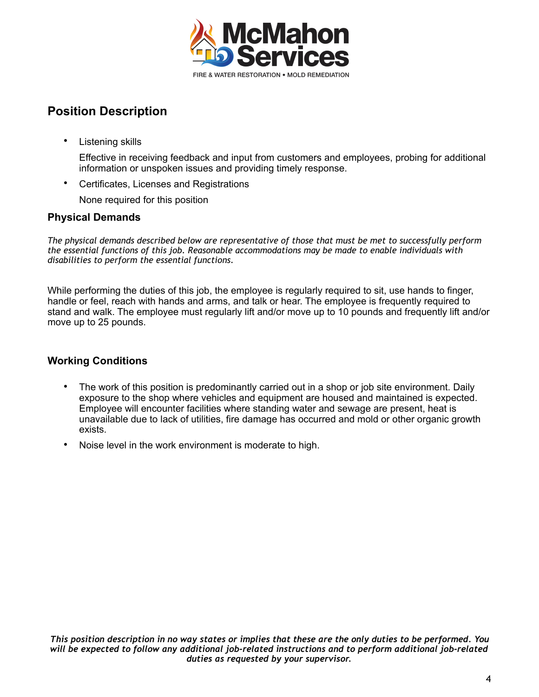

• Listening skills

Effective in receiving feedback and input from customers and employees, probing for additional information or unspoken issues and providing timely response.

• Certificates, Licenses and Registrations

None required for this position

### **Physical Demands**

*The physical demands described below are representative of those that must be met to successfully perform the essential functions of this job. Reasonable accommodations may be made to enable individuals with disabilities to perform the essential functions.* 

While performing the duties of this job, the employee is regularly required to sit, use hands to finger, handle or feel, reach with hands and arms, and talk or hear. The employee is frequently required to stand and walk. The employee must regularly lift and/or move up to 10 pounds and frequently lift and/or move up to 25 pounds.

### **Working Conditions**

- The work of this position is predominantly carried out in a shop or job site environment. Daily exposure to the shop where vehicles and equipment are housed and maintained is expected. Employee will encounter facilities where standing water and sewage are present, heat is unavailable due to lack of utilities, fire damage has occurred and mold or other organic growth exists.
- Noise level in the work environment is moderate to high.